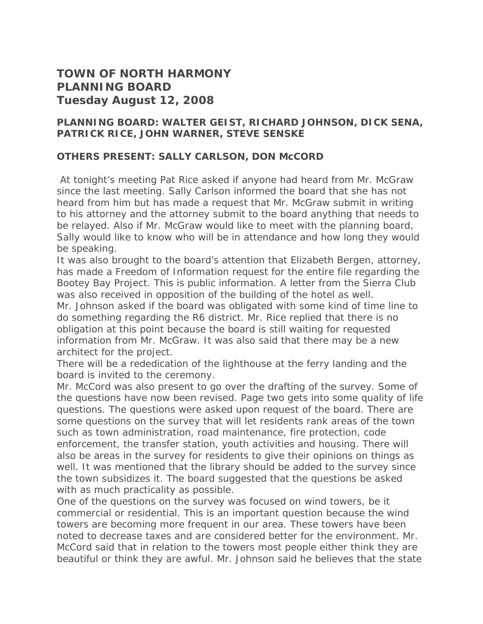## **TOWN OF NORTH HARMONY PLANNING BOARD Tuesday August 12, 2008**

## **PLANNING BOARD: WALTER GEIST, RICHARD JOHNSON, DICK SENA, PATRICK RICE, JOHN WARNER, STEVE SENSKE**

## **OTHERS PRESENT: SALLY CARLSON, DON McCORD**

 At tonight's meeting Pat Rice asked if anyone had heard from Mr. McGraw since the last meeting. Sally Carlson informed the board that she has not heard from him but has made a request that Mr. McGraw submit in writing to his attorney and the attorney submit to the board anything that needs to be relayed. Also if Mr. McGraw would like to meet with the planning board, Sally would like to know who will be in attendance and how long they would be speaking.

It was also brought to the board's attention that Elizabeth Bergen, attorney, has made a Freedom of Information request for the entire file regarding the Bootey Bay Project. This is public information. A letter from the Sierra Club was also received in opposition of the building of the hotel as well.

Mr. Johnson asked if the board was obligated with some kind of time line to do something regarding the R6 district. Mr. Rice replied that there is no obligation at this point because the board is still waiting for requested information from Mr. McGraw. It was also said that there may be a new architect for the project.

There will be a rededication of the lighthouse at the ferry landing and the board is invited to the ceremony.

Mr. McCord was also present to go over the drafting of the survey. Some of the questions have now been revised. Page two gets into some quality of life questions. The questions were asked upon request of the board. There are some questions on the survey that will let residents rank areas of the town such as town administration, road maintenance, fire protection, code enforcement, the transfer station, youth activities and housing. There will also be areas in the survey for residents to give their opinions on things as well. It was mentioned that the library should be added to the survey since the town subsidizes it. The board suggested that the questions be asked with as much practicality as possible.

One of the questions on the survey was focused on wind towers, be it commercial or residential. This is an important question because the wind towers are becoming more frequent in our area. These towers have been noted to decrease taxes and are considered better for the environment. Mr. McCord said that in relation to the towers most people either think they are beautiful or think they are awful. Mr. Johnson said he believes that the state